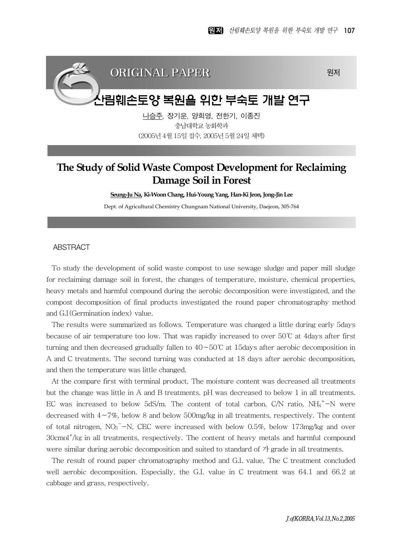## ORIGINAL PAPER 원제

# 산림훼손토양 복원을 위한 부숙토 개발 연구

나승주, 장기운, 양희영, 전한기, 이종진 충남대학교 농화학과 (2005년 4월 15일 접수, 2005년 5월 24일 채택)

## **The Study of Solid Waste Compost Development for Reclaiming Damage Soil in Forest**

**Seung-Ju Na, Ki-Woon Chang, Hui-Young Yang, Han-Ki Jeon, Jong-Jin Lee**

Dept. of Agricultural Chemistry Chungnam National University, Daejeon, 305-764

#### ABSTRACT

To study the development of solid waste compost to use sewage sludge and paper mill sludge for reclaiming damage soil in forest, the changes of temperature, moisture, chemical properties, heavy metals and harmful compound during the aerobic decomposition were investigated, and the compost decomposition of final products investigated the round paper chromatography method and G.I(Germination index) value.

The results were summarized as follows. Temperature was changed a little during early 5days because of air temperature too low. That was rapidly increased to over 50℃ at 4days after first turning and then decreased gradually fallen to 40∼50℃ at 15days after aerobic decomposition in A and C treatments. The second turning was conducted at 18 days after aerobic decomposition, and then the temperature was little changed.

At the compare first with terminal product, The moisture content was decreased all treatments but the change was little in A and B treatments. pH was decreased to below 1 in all treatments. EC was increased to below 5dS/m. The content of total carbon,  $C/N$  ratio,  $NH_4^+$ -N were decreased with 4∼7%, below 8 and below 500mg/kg in all treatments, respectively. The content of total nitrogen,  $NO<sub>3</sub><sup>-</sup>-N$ , CEC were increased with below 0.5%, below 173mg/kg and over 30cmol<sup>+</sup>/kg in all treatments, respectively. The content of heavy metals and harmful compound were similar during aerobic decomposition and suited to standard of 가 grade in all treatments.

The result of round paper chromatography method and G.I. value, The C treatment concluded well aerobic decomposition. Especially, the G.I. value in C treatment was 64.1 and 66.2 at cabbage and grass, respectively.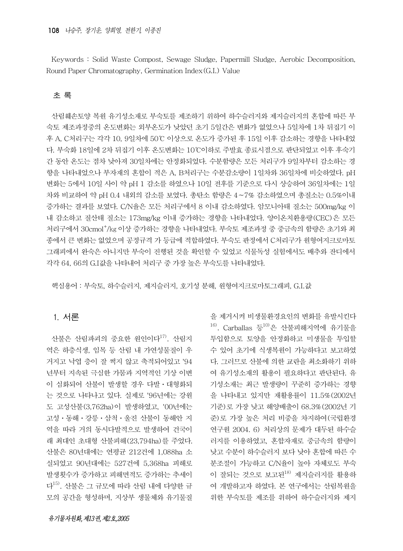Keywords : Solid Waste Compost, Sewage Sludge, Papermill Sludge, Aerobic Decomposition, Round Paper Chromatography, Germination Index(G.I.) Value

#### 초 록

산림훼손토양 복원 유기성소재로 부숙토를 제조하기 위하여 하수슬러지와 제지슬러지의 혼합에 따른 부 숙토 제조과정중의 온도변화는 외부온도가 낮았던 초기 5일간은 변화가 없었으나 5일차에 1차 뒤집기 이 후 A, C처리구는 각각 10, 9일차에 50℃ 이상으로 온도가 증가된 후 15일 이후 감소하는 경향을 나타내었 다. 부숙화 18일에 2차 뒤집기 이후 온도변화는 10℃이하로 주발효 종료시점으로 판단되었고 이후 후숙기 간 동안 온도는 점차 낮아져 30일차에는 안정화되었다. 수분함량은 모든 처리구가 9일차부터 감소하는 경 향을 나타내었으나 부자재의 혼합이 적은 A, B처리구는 수분감소량이 1일차와 36일차에 비슷하였다. pH 변화는 5에서 10일 사이 약 pH 1 감소를 하였으나 10일 전후를 기준으로 다시 상승하여 36일차에는 1일 차와 비교하여 약 pH 0.4 내외의 감소를 보였다. 총탄소 함량은 4∼7% 감소하였으며 총질소는 0.5%이내 증가하는 결과를 보였다. C/N율은 모든 처리구에서 8 이내 감소하였다. 암모니아태 질소는 500mg/kg 이 내 감소하고 질산태 질소는 173mg/kg 이내 증가하는 경향을 나타내었다. 양이온치환용량(CEC)은 모든 처리구에서 30cmol<sup>+</sup>/kg 이상 증가하는 경향을 나타내었다. 부숙토 제조과정 중 중금속의 함량은 초기와 최 종에서 큰 변화는 없었으며 공정규격 가 등급에 적합하였다. 부숙도 판정에서 C처리구가 원형여지크로마토 그래피에서 완숙은 아니지만 부숙이 진행된 것을 확인할 수 있었고 식물독성 실험에서도 배추와 잔디에서 각각 64, 66의 G.I값을 나타내어 처리구 중 가장 높은 부숙도를 나타내었다.

핵심용어 : 부숙토, 하수슬러지, 제지슬러지, 호기성 분해, 원형여지크로마토그래피, G.I.값

## 1. 서론

산불은 산림파괴의 중요한 원인이다<sup>17)</sup>. 산림지 역은 하층식생, 임목 등 산림 내 가연성물질이 우 거지고 낙엽 층이 잘 썩지 않고 축적되어있고 '94 년부터 지속된 극심한 가뭄과 지역적인 기상 이변 이 심화되어 산불이 발생할 경우 다발ᆞ대형화되 는 것으로 나타나고 있다. 실제로 '96년에는 강원 도 고성산불(3,762ha)이 발생하였고, '00년에는 고성ᆞ동해ᆞ강릉ᆞ삼척ᆞ울진 산불이 동해안 지 역을 따라 거의 동시다발적으로 발생하여 건국이 래 최대인 초대형 산불피해(23,794ha)를 주었다. 산불은 80년대에는 연평균 212건에 1,088ha 소 실되었고 90년대에는 527건에 5,368ha 피해로 발생횟수가 증가하고 피해면적도 증가하는 추세이 다15). 산불은 그 규모에 따라 산림 내에 다양한 규 모의 공간을 형성하며, 지상부 생물체와 유기물질

투입함으로 토양을 안정화하고 미생물을 투입할 수 있어 초기에 식생복원이 가능하다고 보고하였 다. 그러므로 산불에 의한 교란을 최소화하기 위하 여 유기성소재의 활용이 필요하다고 판단된다. 유 기성소재는 최근 발생량이 꾸준히 증가하는 경향 을 나타내고 있지만 재활용률이 11.5%(2002년 기준)로 가장 낮고 해양배출이 68.3%(2002년 기 준)로 가장 높은 처리 비중을 차지하여(국립환경 연구원 2004. 6) 처리상의 문제가 대두된 하수슬 러지를 이용하였고, 혼합자재로 중금속의 함량이 낮고 수분이 하수슬러지 보다 낮아 혼합에 따른 수 분조절이 가능하고 C/N율이 높아 자체로도 부숙 이 잘되는 것으로 보고된<sup>18)</sup> 제지슬러지를 활용하 여 개발하고자 하였다. 본 연구에서는 산림복원을 위한 부숙토를 제조를 위하여 하수슬러지와 제지

을 제거시켜 비생물환경요인의 변화를 유발시킨다  $16$ ). Carballas 등 $10$ )은 산불피해지역에 유기물을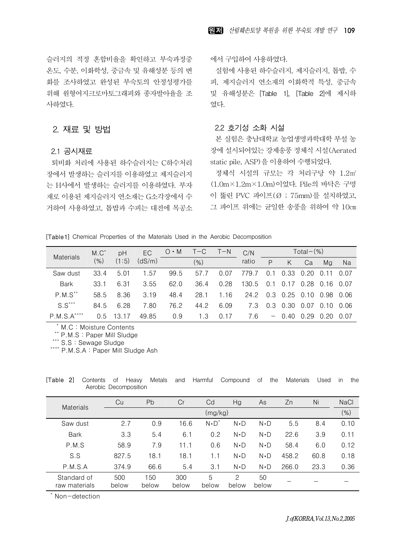슬러지의 적정 혼합비율을 확인하고 부숙과정중 온도, 수분, 이화학성, 중금속 및 유해성분 등의 변 화를 조사하였고 완성된 부숙토의 안정성평가를 위해 원형여지크로마토그래피와 종자발아율을 조 사하였다.

## 2. 재료 및 방법

#### 2.1 공시재료

퇴비화 처리에 사용된 하수슬러지는 C하수처리 장에서 발생하는 슬러지를 이용하였고 제지슬러지 는 H사에서 발생하는 슬러지를 이용하였다. 부자 재로 이용된 제지슬러지 연소재는 G소각장에서 수 거하여 사용하였고, 톱밥과 수피는 대전에 목공소 에서 구입하여 사용하였다.

실험에 사용된 하수슬러지, 제지슬러지, 톱밥, 수 피, 제지슬러지 연소재의 이화학적 특성, 중금속 및 유해성분은 [Table 1], [Table 2]에 제시하 였다.

## 2.2 호기성 소화 시설

본 실험은 충남대학교 농업생명과학대학 부설 농 장에 설시되어있는 강제송풍 정체식 시설(Aerated static pile, ASP)을 이용하여 수행되었다.

정체식 시설의 규모는 각 처리구당 약 1.2㎡ (1.0m×1.2m×1.0m)이었다. Pile의 바닥은 구멍 이 뚫린 PVC 파이프(Ø ; 75mm)를 설치하였고, 그 파이프 위에는 균일한 송풍을 위하여 약 10㎝

[Table 1] Chemical Properties of the Materials Used in the Aerobic Decomposition

| <b>Materials</b>   | $M.C^*$ | pH        | EC     | $O \cdot M$ | $T - C$ | $T-N$ | C/N   |     |         | Total $-(\%)$ |                  |      |
|--------------------|---------|-----------|--------|-------------|---------|-------|-------|-----|---------|---------------|------------------|------|
|                    | $(\% )$ | (1:5)     | (dS/m) |             | (% )    |       | ratio | P   | Κ       | Ca            | Mg               | Na   |
| Saw dust           | 33.4    | 5.01      | 1.57   | 99.5        | 57.7    | 0.07  | 779.7 | 0.  | 0.33    | 0.20          | $\Omega$ .       | 0.07 |
| <b>Bark</b>        | 33.1    | 6.31      | 3.55   | 62.0        | 36.4    | 0.28  | 130.5 | 0   |         | 0.28          | 0.16             | 0.07 |
| $P.M.S^{\ast\ast}$ | 58.5    | 8.36      | 3.19   | 48.4        | 28.1    | 1.16  | 24.2  | 0.3 | 0.25    | 0.10          | 0.98             | 0.06 |
| $S.S***$           | 84.5    | 6.28      | 7.80   | 76.2        | 44.2    | 6.09  | 7.3   | 0.3 | 0.30    | 0.07          | $\Omega$ .<br>10 | 0.06 |
| $P.M.S.A***$       | 0.5     | 13<br>.17 | 49.85  | 0.9         | 1.3     | 0.17  | 7.6   |     | $-0.40$ | 0.29          | 0.20             | 0.07 |

\* M.C : Moisture Contents

\*\* P.M.S : Paper Mill Sludge

\*\*\* S.S : Sewage Sludge

\*\*\*\* P.M.S.A : Paper Mill Sludge Ash

| <b>Materials</b>             | Cu           | Pb           | Cr           | Cd            | Hg          | As          | Zn    | Ni   | <b>NaCl</b> |
|------------------------------|--------------|--------------|--------------|---------------|-------------|-------------|-------|------|-------------|
|                              |              |              |              | (mg/kg)       |             |             |       |      | $(\% )$     |
| Saw dust                     | 2.7          | 0.9          | 16.6         | $N \cdot D^*$ | $N \cdot D$ | $N \cdot D$ | 5.5   | 8.4  | 0.10        |
| <b>Bark</b>                  | 3.3          | 5.4          | 6.1          | 0.2           | $N \cdot D$ | $N \cdot D$ | 22.6  | 3.9  | 0.11        |
| P.M.S                        | 58.9         | 7.9          | 11.1         | 0.6           | $N \cdot D$ | $N \cdot D$ | 58.4  | 6.0  | 0.12        |
| S.S                          | 827.5        | 18.1         | 18.1         | 1.1           | $N \cdot D$ | $N \cdot D$ | 458.2 | 60.8 | 0.18        |
| P.M.S.A                      | 374.9        | 66.6         | 5.4          | 3.1           | $N \cdot D$ | $N \cdot D$ | 266.0 | 23.3 | 0.36        |
| Standard of<br>raw materials | 500<br>below | 150<br>below | 300<br>below | 5<br>below    | 2<br>below  | 50<br>below |       |      |             |

[Table 2] Contents of Heavy Metals and Harmful Compound of the Materials Used in the Aerobic Decomposition

\* Non-detection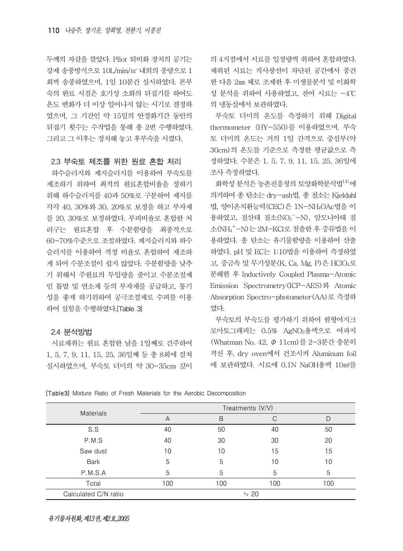두께의 자갈을 깔았다. Pilot 퇴비화 장치의 공기는 강제 송풍방식으로 10L/min/㎥ 내외의 풍량으로 1 회씩 송풍하였으며, 1일 10분간 실시하였다. 본부 숙의 완료 시점은 호기성 소화의 뒤집기를 하여도 온도 변화가 더 이상 일어나지 않는 시기로 결정하 였으며, 그 기간인 약 15일의 안정화기간 동안의 뒤집기 횟수는 수작업을 통해 총 2번 수행하였다. 그리고 그 이후는 정치해 놓고 후부숙을 시켰다.

#### 2.3 부숙토 제조를 위한 원료 혼합 처리

하수슬러지와 제지슬러지를 이용하여 부숙토를 제조하기 위하여 최적의 원료혼합비율을 정하기 위해 하수슬러지를 40과 50%로 구분하여 제지를 각각 40, 30%와 30, 20%로 보정을 하고 부자재 를 20, 30%로 보정하였다. 부피비율로 혼합한 처 리구는 원료혼합 후 수분함량을 최종적으로 60~70%수준으로 조절하였다. 제지슬러지와 하수 슬러지를 이용하여 적정 비율로 혼합하여 제조하 게 되어 수분조절이 쉽지 않았다. 수분함량을 낮추 기 위해서 주원료의 투입량을 줄이고 수분조절제 인 톱밥 및 연소재 등의 부자재를 공급하고, 통기 성을 좋게 하기위하여 공극조절제로 수피를 이용 하여 실험을 수행하였다.[Table 3]

#### 2.4 분석방법

시료채취는 원료 혼합한 날을 1일째로 간주하여 1, 5, 7, 9, 11, 15, 25, 36일째 등 총 8회에 걸쳐 실시하였으며, 부숙토 더미의 약 30~35cm 깊이

의 4지점에서 시료를 일정량씩 취하여 혼합하였다. 채취된 시료는 직사광선이 차단된 공간에서 풍건 한 다음 2㎜ 체로 조제한 후 미생물분석 및 이화학 성 분석을 위하여 사용하였고, 잔여 시료는 -4℃ 의 냉동실에서 보관하였다.

부숙토 더미의 온도를 측정하기 위해 Digital thermometer (HY-550)를 이용하였으며, 부숙 토 더미의 온도는 거의 1일 간격으로 중심부(약 30cm)의 온도를 기준으로 측정한 평균값으로 측 정하였다. 수분은 1, 5, 7, 9, 11, 15, 25, 36일에 조사 측정하였다.

화학성 분석은 농촌진흥청의 토양화학분석법 $^{14}$ 에 의거하여 총 탄소는 dry-ash법, 총 질소는 Kjeldahl 법, 양이온치환능력(CEC)은 1N-NH4OAc법을 이 용하였고, 질산태 질소(NO<sub>3</sub>-N), 암모니아태 질 소(NH4 + -N)는 2M-KCl로 침출한 후 증류법을 이 용하였다. 총 탄소는 유기물함량을 이용하여 산출 하였다. pH 및 EC는 1:10법을 이용하여 측정하였 고, 중금속 및 무기성분(K, Ca, Mg, P)은 HClO4로 분해한 후 Inductively Coupled Plasma-Atomic Emission Spectrometry(ICP-AES)와 Atomic Absorption Spectro-photometer(AA)로 측정하 였다.

부숙토의 부숙도를 평가하기 위하여 원형여지크 로마토그래피는 0.5% AgNO3용액으로 여과지 (Whatman No. 42, Φ 11cm)를 2~3분간 충분히 적신 후, dry oven에서 건조시켜 Aluminum foil 에 보관하였다. 시료에 0.1N NaOH용액 10㎖를

[Table 3] Mixture Ratio of Fresh Materials for the Aerobic Decomposition

| Materials            | Treatments (V/V) |     |           |     |  |  |  |  |
|----------------------|------------------|-----|-----------|-----|--|--|--|--|
|                      | A                | B   |           |     |  |  |  |  |
| S.S                  | 40               | 50  | 40        | 50  |  |  |  |  |
| P.M.S                | 40               | 30  | 30        | 20  |  |  |  |  |
| Saw dust             | 10               | 10  | 15        | 15  |  |  |  |  |
| <b>Bark</b>          | 5                | 5   | 10        | 10  |  |  |  |  |
| P.M.S.A              | 5                | 5   | 5         | 5   |  |  |  |  |
| Total                | 100              | 100 | 100       | 100 |  |  |  |  |
| Calculated C/N ratio |                  |     | $\div$ 20 |     |  |  |  |  |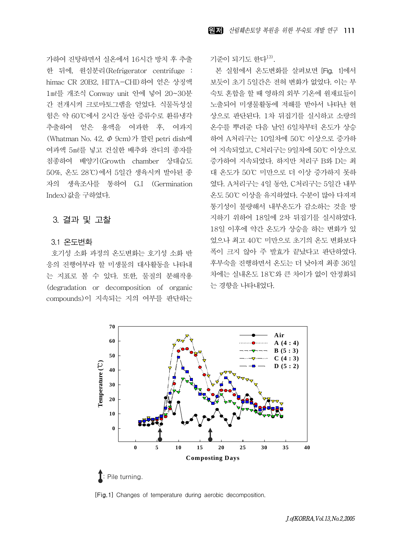가하여 진탕하면서 실온에서 16시간 방치 후 추출 한 뒤에, 원심분리(Refrigerator centrifuge : himac CR 20B2, HITA-CHI)하여 얻은 상징액 1㎖를 개조식 Conway unit 안에 넣어 20~30분 간 전개시켜 크로마토그램을 얻었다. 식물독성실 험은 약 60℃에서 2시간 동안 증류수로 환류냉각 추출하여 얻은 용액을 여과한 후, 여과지 (Whatman No. 42, Φ 9cm)가 깔린 petri dish에 여과액 5㎖를 넣고 건실한 배추와 잔디의 종자를 침종하여 배양기(Growth chamber 상대습도 50%, 온도 28℃)에서 5일간 생육시켜 발아된 종 자의 생육조사를 통하여 G.I (Germination Index)값을 구하였다.

## 3. 결과 및 고찰

#### 3.1 온도변화

호기성 소화 과정의 온도변화는 호기성 소화 반 응의 진행여부라 할 미생물의 대사활동을 나타내 는 지표로 볼 수 있다. 또한, 물질의 분해작용 (degradation or decomposition of organic compounds)이 지속되는 지의 여부를 판단하는 기준이 되기도 한다<sup>13)</sup>.

본 실험에서 온도변화를 살펴보면 [Fig. 1]에서 보듯이 초기 5일간은 전혀 변화가 없었다. 이는 부 숙토 혼합을 할 때 영하의 외부 기온에 원재료들이 노출되어 미생물활동에 저해를 받아서 나타난 현 상으로 판단된다. 1차 뒤집기를 실시하고 소량의 온수를 뿌려준 다음 날인 6일차부터 온도가 상승 하여 A처리구는 10일차에 50℃ 이상으로 증가하 여 지속되었고, C처리구는 9일차에 50℃ 이상으로 증가하여 지속되었다. 하지만 처리구 B와 D는 최 대 온도가 50℃ 미만으로 더 이상 증가하지 못하 였다. A처리구는 4일 동안, C처리구는 5일간 내부 온도 50℃ 이상을 유지하였다. 수분이 많아 다져져 통기성이 불량해서 내부온도가 감소하는 것을 방 지하기 위하여 18일에 2차 뒤집기를 실시하였다. 18일 이후에 약간 온도가 상승을 하는 변화가 있 었으나 최고 40℃ 미만으로 초기의 온도 변화보다 폭이 크지 않아 주 발효가 끝났다고 판단하였다. 후부숙을 진행하면서 온도는 더 낮아져 최종 36일 차에는 실내온도 18℃와 큰 차이가 없이 안정화되 는 경향을 나타내었다.



[Fig. 1] Changes of temperature during aerobic decomposition.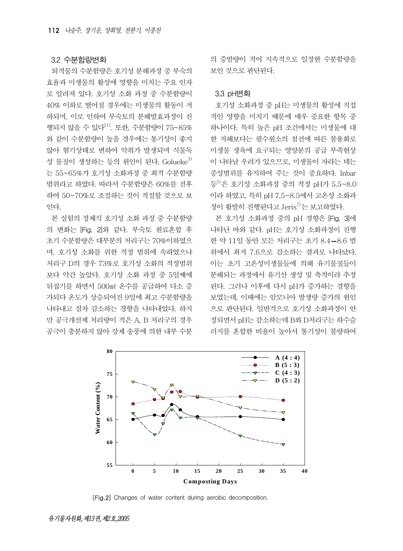#### 3.2 수분함량변화

퇴적물의 수분함량은 호기성 분해과정 중 부숙의 효율과 미생물의 활성에 영향을 미치는 주요 인자 로 알려져 있다. 호기성 소화 과정 중 수분함량이 40% 이하로 떨어질 경우에는 미생물의 활동이 저 하되며, 이로 인하여 부숙토의 분해발효과정이 진 행되지 않을 수 있다 $^{11}$ . 또한, 수분함량이 75~85% 와 같이 수분함량이 높을 경우에는 통기성이 좋지 않아 혐기상태로 변하여 악취가 발생되며 식물독 성 물질이 생성하는 등의 원인이 된다. Golueke $^{3)}$ 는 55~65%가 호기성 소화과정 중 최적 수분함량 범위라고 하였다. 따라서 수분함량은 60%를 전후 하여 50~70%로 조절하는 것이 적절할 것으로 보 인다.

본 실험의 정체식 호기성 소화 과정 중 수분함량 의 변화는 [Fig. 2]와 같다. 부숙토 원료혼합 후 초기 수분함량은 대부분의 처리구는 70%이하였으 며, 호기성 소화를 위한 적정 범위에 속하였으나 처리구 D의 경우 73%로 호기성 소화의 적정범위 보다 약간 높았다. 호기성 소화 과정 중 5일째에 뒤집기를 하면서 500㎖ 온수를 공급하여 다소 증 가되다 온도가 상승되어진 9일에 최고 수분함량을 나타내고 점차 감소하는 경향을 나타내었다. 하지 만 공극개선제 처리량이 적은 A, B 처리구의 경우 공극이 충분하지 않아 강제 송풍에 의한 내부 수분

의 증발량이 적어 지속적으로 일정한 수분함량을 보인 것으로 판단된다.

#### 3.3 pH변화

호기성 소화과정 중 pH는 미생물의 활성에 직접 적인 영향을 미치기 때문에 매우 중요한 항목 중 하나이다. 특히 높은 pH 조건에서는 미생물에 대 한 저해보다는 필수원소의 침전에 따른 불용화로 미생물 생육에 요구되는 영양분의 공급 부족현상 이 나타날 우려가 있으므로, 미생물이 자라는 데는 중성범위를 유지하여 주는 것이 중요하다. Inbar 등 혼기성 소화과정 중의 적정 pH가 5.5~8.0 이라 하였고, 특히 pH 7.5~8.5에서 고온성 소화과 정이 활발히 진행된다고 Jeris $^{7}$ 는 보고하였다.

본 호기성 소화과정 중의 pH 경향은 [Fig. 3]에 나타난 바와 같다. pH는 호기성 소화과정이 진행 한 약 11일 동안 모든 처리구는 초기 8.4 8.6 범 위에서 최저 7.6으로 감소하는 결과로 나타났다. 이는 초기 고온성미생물들에 의해 유기물질들이 분해되는 과정에서 유기산 생성 및 축적이라 추정 된다. 그러나 이후에 다시 pH가 증가하는 경향을 보였는데, 이때에는 암모니아 발생량 증가의 원인 으로 판단된다. 일반적으로 호기성 소화과정이 안 정되면서 pH는 감소하는데 B와 D처리구는 하수슬 러지를 혼합한 비율이 높아서 통기성이 불량하여



[Fig. 2] Changes of water content during aerobic decomposition.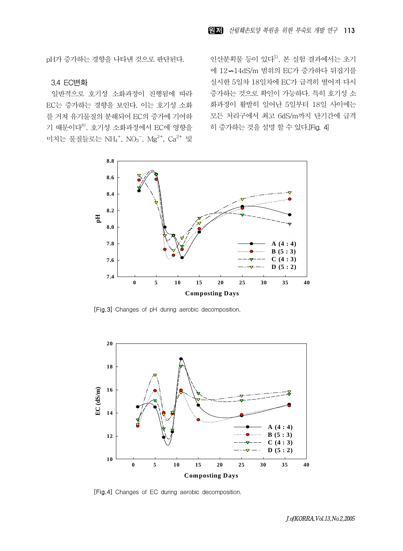pH가 증가하는 경향을 나타낸 것으로 판단된다.

#### 3.4 EC변화

일반적으로 호기성 소화과정이 진행됨에 따라 EC는 증가하는 경향을 보인다. 이는 호기성 소화 를 거쳐 유기물질의 분해되어 EC의 증가에 기여하 기 때문이다8). 호기성 소화과정에서 EC에 영향을 미치는 물질들로는 NH<sub>4</sub><sup>+</sup>, NO<sub>3</sub><sup>-</sup>, Mg<sup>2+</sup>, Ca<sup>2+</sup> 및

인산분획물 등이 있다<sup>5)</sup>. 본 실험 결과에서는 초기 에 12 14dS/m 범위의 EC가 증가하다 뒤집기를 실시한 5일차 18일차에 EC가 급격히 떨어져 다시 증가하는 것으로 확인이 가능하다. 특히 호기성 소 화과정이 활발히 일어난 5일부터 18일 사이에는 모든 처리구에서 최고 6dS/m까지 단기간에 급격 히 증가하는 것을 설명 할 수 있다.[Fig. 4]



[Fig. 3] Changes of pH during aerobic decomposition.



[Fig.4] Changes of EC during aerobic decomposition.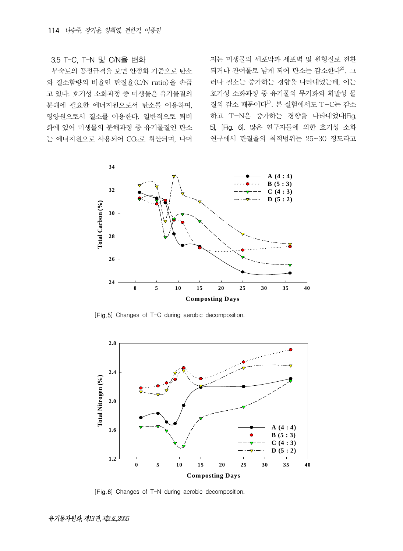#### 3.5 T-C, T-N 및 C/N율 변화

부숙토의 공정규격을 보면 안정화 기준으로 탄소 와 질소함량의 비율인 탄질율(C/N ratio)을 손꼽 고 있다. 호기성 소화과정 중 미생물은 유기물질의 분해에 필요한 에너지원으로서 탄소를 이용하며, 영양원으로서 질소를 이용한다. 일반적으로 퇴비 화에 있어 미생물의 분해과정 중 유기물질인 탄소 는 에너지원으로 사용되어 CO2로 휘산되며, 나머 지는 미생물의 세포막과 세포벽 및 원형질로 전환 되거나 잔여물로 남게 되어 탄소는 감소한다 $^{2)}$ . 그 러나 질소는 증가하는 경향을 나타내었는데, 이는 호기성 소화과정 중 유기물의 무기화와 휘발성 물 질의 감소 때문이다 $^{1)}$ . 본 실험에서도 T-C는 감소 하고 T-N은 증가하는 경향을 나타내었다[Fig. 5], [Fig. 6]. 많은 연구자들에 의한 호기성 소화 연구에서 탄질율의 최적범위는 25~30 정도라고



[Fig. 5] Changes of T-C during aerobic decomposition.



[Fig. 6] Changes of T-N during aerobic decomposition.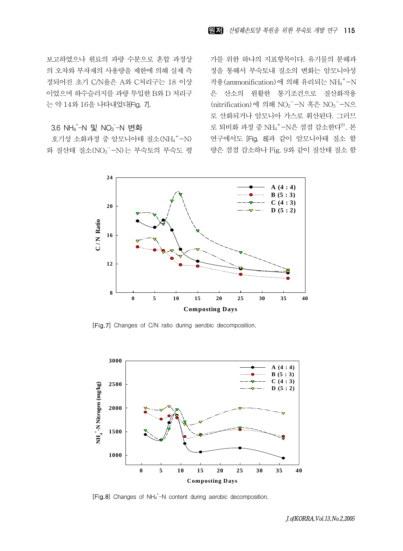보고하였으나 원료의 과량 수분으로 혼합 과정상 의 오차와 부자재의 사용량을 제한에 의해 실제 측 정되어진 초기 C/N율은 A와 C처리구는 18 이상 이었으며 하수슬러지를 과량 투입한 B와 D 처리구 는 약 14와 16을 나타내었다[Fig. 7].

## 3.6 NH4'-N 및 NO3<sup>-</sup>-N 변화

호기성 소화과정 중 암모니아태 질소 (NH4<sup>+</sup>-N) 와 질산태 질소(NO3 - N)는 부숙토의 부숙도 평 가를 위한 하나의 지표항목이다. 유기물의 분해과 정을 통해서 부숙토내 질소의 변화는 암모니아성 작용(ammonification)에 의해 유리되는 NH4 + -N 은 산소의 원활한 통기조건으로 질산화작용 (nitrification)에 의해 NO<sub>2</sub><sup>-</sup>-N 혹은 NO<sub>3</sub><sup>-</sup>-N으 로 산화되거나 암모니아 가스로 휘산된다. 그러므 로 퇴비화 과정 중 NH<sub>4</sub><sup>+</sup>-N은 점점 감소한다<sup>9)</sup>. 본 연구에서도 [Fig. 8]과 같이 암모니아태 질소 함 량은 점점 감소하나 Fig. 9와 같이 질산태 질소 함



[Fig. 7] Changes of C/N ratio during aerobic decomposition.



[Fig.8] Changes of NH<sub>4</sub><sup>+</sup>-N content during aerobic decomposition.

J.of KORRA, Vol. 13, No. 2, 2005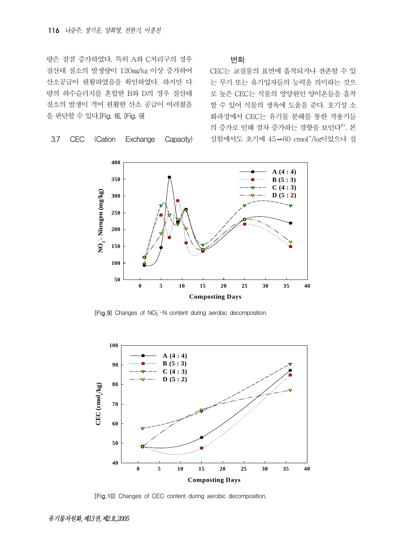량은 점점 증가하였다. 특히 A와 C처리구의 경우 질산태 질소의 발생량이 120㎎/㎏ 이상 증가하여 산소공급이 원활하였음을 확인하였다. 하지만 다 량의 하수슬러지를 혼합한 B와 D의 경우 질산태 질소의 발생이 적어 원활한 산소 공급이 어려웠음 을 판단할 수 있다.[Fig. 8], [Fig. 9]

3.7 CEC (Cation Exchange Capacity)

변화

CEC는 교질물의 표면에 흡착되거나 잔존할 수 있 는 무기 또는 유기입자들의 능력을 의미하는 것으 로 높은 CEC는 식물의 영양원인 양이온들을 흡착 할 수 있어 식물의 생육에 도움을 준다. 호기성 소 화과정에서 CEC는 유기물 분해를 통한 작용기들 의 증가로 인해 점차 증가하는 경향을 보인다<sup>4)</sup>. 본 실험에서도 초기에 45-60 cmol<sup>+</sup>/kg이었으나 실



[Fig.9] Changes of NO<sub>3</sub><sup>-</sup>-N content during aerobic decomposition.



[Fig. 10] Changes of CEC content during aerobic decomposition.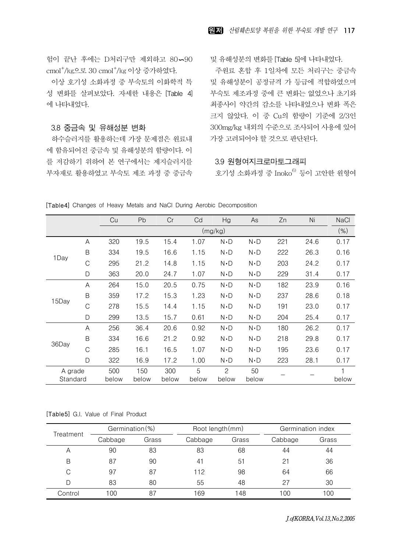험이 끝난 후에는 D처리구만 제외하고 80-90 cmol<sup>+</sup>/kg으로 30 cmol<sup>+</sup>/kg 이상 증가하였다.

이상 호기성 소화과정 중 부숙토의 이화학적 특 성 변화를 살펴보았다. 자세한 내용은 [Table 4] 에 나타내었다.

## 3.8 중금속 및 유해성분 변화

하수슬러지를 활용하는데 가장 문제점은 원료내 에 함유되어진 중금속 및 유해성분의 함량이다. 이 를 저감하기 위하여 본 연구에서는 제지슬러지를 부자재로 활용하였고 부숙토 제조 과정 중 중금속 및 유해성분의 변화를 [Table 5]에 나타내었다.

주원료 혼합 후 1일차에 모든 처리구는 중금속 및 유해성분이 공정규격 가 등급에 적합하였으며 부숙토 제조과정 중에 큰 변화는 없었으나 초기와 최종사이 약간의 감소를 나타내었으나 변화 폭은 크지 않았다. 이 중 Cu의 함량이 기준에 2/3인 300mg/kg 내외의 수준으로 조사되어 사용에 있어 가장 고려되어야 할 것으로 판단된다.

#### 3.9 원형여지크로마토그래피

호기성 소화과정 중 Inoko $^{6)}$  등이 고안한 원형여

|  |  |  |  |  |  |  |  | <b>[Table4]</b> Changes of Heavy Metals and NaCl During Aerobic Decomposition |
|--|--|--|--|--|--|--|--|-------------------------------------------------------------------------------|
|--|--|--|--|--|--|--|--|-------------------------------------------------------------------------------|

|                     |   | Cu           | Pb           | Cr           | Cd         | Hg                     | As          | Zn  | Ni   | <b>NaCl</b> |
|---------------------|---|--------------|--------------|--------------|------------|------------------------|-------------|-----|------|-------------|
|                     |   |              |              |              |            | (mg/kg)                |             |     |      | $(\% )$     |
|                     | A | 320          | 19.5         | 15.4         | 1.07       | $N \cdot D$            | $N \cdot D$ | 221 | 24.6 | 0.17        |
|                     | B | 334          | 19.5         | 16.6         | 1.15       | N D                    | $N$ D       | 222 | 26.3 | 0.16        |
| 1Day                | C | 295          | 21.2         | 14.8         | 1.15       | N D                    | $N \cdot D$ | 203 | 24.2 | 0.17        |
|                     | D | 363          | 20.0         | 24.7         | 1.07       | $N \cdot D$            | $N \cdot D$ | 229 | 31.4 | 0.17        |
|                     | A | 264          | 15.0         | 20.5         | 0.75       | $N \cdot D$            | $N$ D       | 182 | 23.9 | 0.16        |
| 15Day               | B | 359          | 17.2         | 15.3         | 1.23       | N D                    | $N \cdot D$ | 237 | 28.6 | 0.18        |
|                     | C | 278          | 15.5         | 14.4         | 1.15       | $N$ D                  | $N$ D       | 191 | 23.0 | 0.17        |
|                     | D | 299          | 13.5         | 15.7         | 0.61       | $N \cdot D$            | $N \cdot D$ | 204 | 25.4 | 0.17        |
|                     | A | 256          | 36.4         | 20.6         | 0.92       | $N \cdot D$            | $N \cdot D$ | 180 | 26.2 | 0.17        |
|                     | B | 334          | 16.6         | 21.2         | 0.92       | N D                    | $N$ D       | 218 | 29.8 | 0.17        |
| 36Day               | C | 285          | 16.1         | 16.5         | 1.07       | $N$ D                  | $N \cdot D$ | 195 | 23.6 | 0.17        |
|                     | D | 322          | 16.9         | 17.2         | 1.00       | $N \cdot D$            | $N \cdot D$ | 223 | 28.1 | 0.17        |
| A grade<br>Standard |   | 500<br>below | 150<br>below | 300<br>below | 5<br>below | $\mathcal{P}$<br>below | 50<br>below |     |      | 1<br>below  |

| [Table5] G.I. Value of Final Product |  |
|--------------------------------------|--|
|--------------------------------------|--|

| Treatment | Germination(%) |       | Root length (mm) |       | Germination index |       |  |
|-----------|----------------|-------|------------------|-------|-------------------|-------|--|
|           | Cabbage        | Grass | Cabbage          | Grass | Cabbage           | Grass |  |
| Α         | 90             | 83    | 83               | 68    | 44                | 44    |  |
| B         | 87             | 90    | 41               | 51    | 21                | 36    |  |
| С         | 97             | 87    | 112              | 98    | 64                | 66    |  |
| D         | 83             | 80    | 55               | 48    | 27                | 30    |  |
| Control   | 100            | 87    | 69               | 148   | 100               | 100   |  |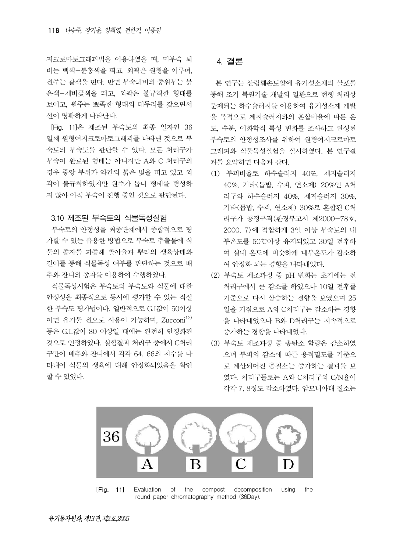지크로마토그래피법을 이용하였을 때, 미부숙 퇴 비는 백색-분홍색을 띄고, 외곽은 원형을 이루며, 원주는 갈색을 띤다. 반면 부숙퇴비의 중위부는 붉 은색-제비꽃색을 띄고, 외곽은 불규칙한 형태를 보이고, 원주는 뾰족한 형태의 테두리를 갖으면서 선이 명확하게 나타난다.

[Fig. 11]은 제조된 부숙토의 최종 일자인 36 일째 원형여지크로마토그래피를 나타낸 것으로 부 숙토의 부숙도를 판단할 수 있다. 모든 처리구가 부숙이 완료된 형태는 아니지만 A와 C 처리구의 경우 중앙 부위가 약간의 붉은 빛을 띠고 있고 외 각이 불규칙하였지만 원주가 톱니 형태를 형성하 지 않아 아직 부숙이 진행 중인 것으로 판단된다.

#### 3.10 제조된 부숙토의 식물독성실험

부숙토의 안정성을 최종단계에서 종합적으로 평 가할 수 있는 유용한 방법으로 부숙토 추출물에 식 물의 종자를 파종해 발아율과 뿌리의 생육상태와 길이를 통해 식물독성 여부를 판단하는 것으로 배 추와 잔디의 종자를 이용하여 수행하였다.

식물독성시험은 부숙토의 부숙도와 식물에 대한 안정성을 최종적으로 동시에 평가할 수 있는 적절 한 부숙도 평가법이다. 일반적으로 G.I값이 50이상 이면 유기물 원으로 사용이 가능하며, Zucconi $^{12)}$ 등은 G.I.값이 80 이상일 때에는 완전히 안정화된 것으로 인정하였다. 실험결과 처리구 중에서 C처리 구만이 배추와 잔디에서 각각 64, 66의 지수를 나 타내어 식물의 생육에 대해 안정화되었음을 확인 할 수 있었다.

## 4. 결론

본 연구는 산림훼손토양에 유기성소재의 살포를 통해 조기 복원기술 개발의 일환으로 현행 처리상 문제되는 하수슬러지를 이용하여 유기성소재 개발 을 목적으로 제지슬러지와의 혼합비율에 따른 온 도, 수분, 이화학적 특성 변화를 조사하고 완성된 부숙토의 안정성조사를 위하여 원형여지크로마토 그래피와 식물독성실험을 실시하였다. 본 연구결 과를 요약하면 다음과 같다.

- (1) 부피비율로 하수슬러지 40%, 제지슬러지 40%, 기타(톱밥, 수피, 연소제) 20%인 A처 리구와 하수슬러지 40%, 제지슬러지 30%, 기타(톱밥, 수피, 연소제) 30%로 혼합된 C처 리구가 공정규격(환경부고시 제2000-78호, 2000. 7)에 적합하게 3일 이상 부숙토의 내 부온도를 50℃이상 유지되었고 30일 전후하 여 실내 온도에 비슷하게 내부온도가 감소하 여 안정화 되는 경향을 나타내었다.
- (2) 부숙토 제조과정 중 pH 변화는 초기에는 전 처리구에서 큰 감소를 하였으나 10일 전후를 기준으로 다시 상승하는 경향을 보였으며 25 일을 기점으로 A와 C처리구는 감소하는 경향 을 나타내었으나 B와 D처리구는 지속적으로 증가하는 경향을 나타내었다.
- (3) 부숙토 제조과정 중 총탄소 함량은 감소하였 으며 부피의 감소에 따른 용적밀도를 기준으 로 계산되어진 총질소는 증가하는 결과를 보 였다. 처리구들로는 A와 C처리구의 C/N율이 각각 7, 8정도 감소하였다. 암모니아태 질소는



[Fig. 11] Evaluation of the compost decomposition using the round paper chromatography method (36Day).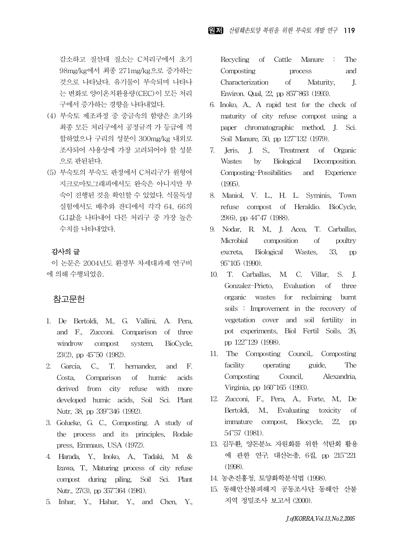감소하고 질산태 질소는 C처리구에서 초기 98mg/kg에서 최종 271mg/kg으로 증가하는 것으로 나타났다. 유기물이 부숙되며 나타나 는 변화로 양이온치환용량(CEC)이 모든 처리 구에서 증가하는 경향을 나타내었다.

- (4) 부숙토 제조과정 중 중금속의 함량은 초기와 최종 모든 처리구에서 공정규격 가 등급에 적 합하였으나 구리의 성분이 300mg/kg 내외로 조사되어 사용상에 가장 고려되어야 할 성분 으로 판된된다.
- (5) 부숙토의 부숙도 판정에서 C처리구가 원형여 지크로마토그래피에서도 완숙은 아니지만 부 숙이 진행된 것을 확인할 수 있었다. 식물독성 실험에서도 배추와 잔디에서 각각 64, 66의 G.I값을 나타내어 다른 처리구 중 가장 높은 수치를 나타내었다.

## 감사의 글

이 논문은 2004년도 환경부 차세대과제 연구비 에 의해 수행되었음.

## 참고문헌

- 1. De Bertoldi, M., G. Vallini, A. Pera, and F., Zucconi. Comparison of three windrow compost system, BioCycle, 23(2), pp 45~50 (1982).
- 2. Garcia, C., T. hernandez, and F. Costa, Comparison of humic acids derived from city refuse with more developed humic acids, Soil Sci. Plant Nutr, 38, pp 339~346 (1992).
- 3. Golueke, G. C., Composting. A study of the process and its principles, Rodale press, Emmaus, USA (1972).
- 4. Harada, Y., Inoko, A., Tadaki, M. & Izawa, T., Maturing process of city refuse compost during piling, Soil Sci. Plant Nutr., 27(3), pp 357<sup>-364</sup> (1981).
- 5. Inbar, Y., Habar, Y., and Chen, Y.,

Recycling of Cattle Manure : The Composting process and Characterization of Maturity, J. Environ. Qual, 22, pp 857~863 (1993).

- 6. Inoko, A., A rapid test for the check of maturity of city refuse compost using a paper chromatographic method, J. Sci. Soil Manure, 50, pp 127~132 (1979).
- 7. Jeris, J. S., Treatment of Organic Wastes by Biological Decomposition. Composting-Possibilities and Experience (1995).
- 8. Maniol, V. L., H. L. Syminis, Town refuse compost of Heraklio. BioCycle, 29(6), pp 44~47 (1988).
- 9. Nodar, R. M., J. Acea, T. Carballas, Microbial composition of poultry excreta, Biological Wastes, 33, pp 95~105 (1990).
- 10. T. Carballas, M. C. Villar, S. J. Gonzalez-Prieto, Evaluation of three organic wastes for reclaiming burnt soils : Improvement in the recovery of vegetation cover and soil fertility in pot experiments, Biol Fertil Soils, 26, pp 122~129 (1998).
- 11. The Composting Council,. Composting facility operating guide, The Composting Council, Alexandria, Virginia, pp 160~165 (1993).
- 12. Zucconi, F., Pera, A., Forte, M., De Bertoldi, M., Evaluating toxicity of immature compost, Biocycle, 22, pp 54~57 (1981).
- 13. 김두환, 양돈분뇨 자원화를 위한 석탄회 활용 에 관한 연구, 대산논총, 6집, pp 215~221 (1998).
- 14. 농촌진흥청, 토양화학분석법 (1998).
- 15. 동해안산불피해지 공동조사단, 동해안 산불 지역 정밀조사 보고서 (2000).